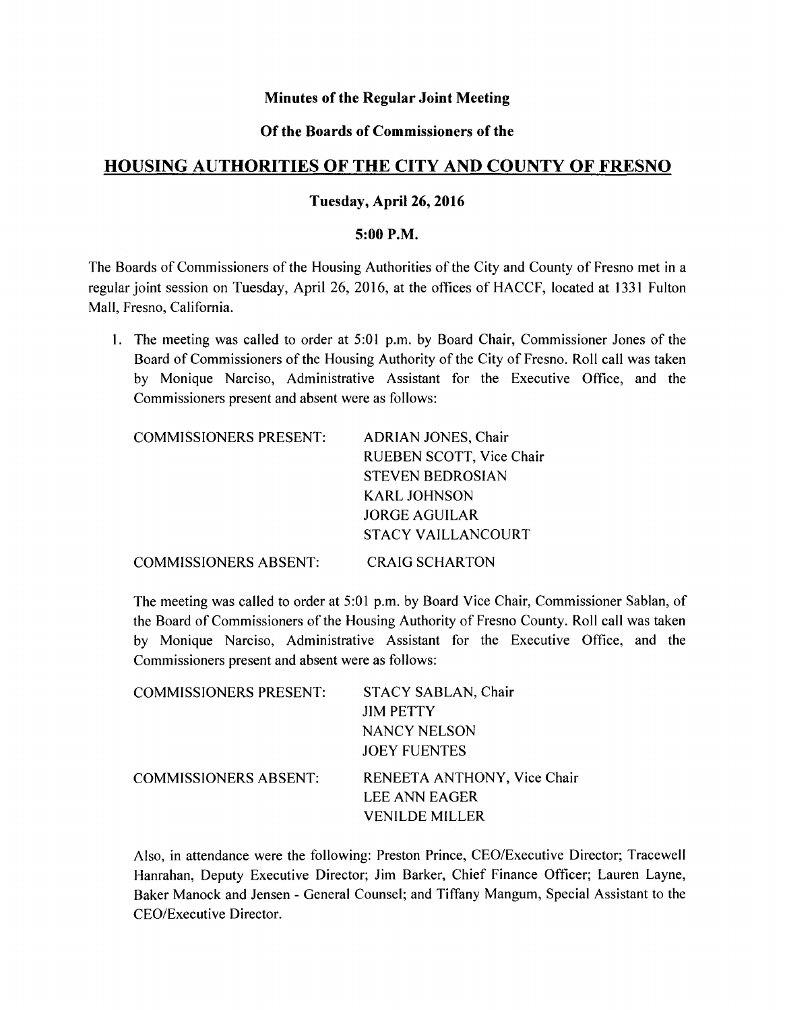# **Minutes of the Regular Joint Meeting**

# **Of the Boards of Commissioners of the**

# **HOUSING AUTHORITIES OF THE CITY AND COUNTY OF FRESNO**

## **Tuesday,** April 26, **2016**

## **5:00 P.M.**

The Boards of Commissioners of the Housing Authorities of the City and County of Fresno met in a regular joint session on Tuesday, April 26, 2016, at the offices of HACCF, located at 1331 Fulton Mall, Fresno, California.

1. The meeting was called to order at 5:01 p.m. by Board Chair, Commissioner Jones of the Board of Commissioners of the Housing Authority of the City of Fresno. Roll call was taken by Monique Narciso, Administrative Assistant for the Executive Office, and the Commissioners present and absent were as follows:

| <b>COMMISSIONERS PRESENT:</b> | <b>ADRIAN JONES, Chair</b> |
|-------------------------------|----------------------------|
|                               | RUEBEN SCOTT, Vice Chair   |
|                               | <b>STEVEN BEDROSIAN</b>    |
|                               | <b>KARL JOHNSON</b>        |
|                               | <b>JORGE AGUILAR</b>       |
|                               | STACY VAILLANCOURT         |
| <b>COMMISSIONERS ABSENT:</b>  | <b>CRAIG SCHARTON</b>      |

The meeting was called to order at 5:01 p.m. by Board Vice Chair, Commissioner Sablan, of the Board of Commissioners of the Housing Authority of Fresno County. Roll call was taken by Monique Narciso, Administrative Assistant for the Executive Office, and the Commissioners present and absent were as follows:

| <b>COMMISSIONERS PRESENT:</b> | STACY SABLAN, Chair         |
|-------------------------------|-----------------------------|
|                               | <b>JIM PETTY</b>            |
|                               | NANCY NELSON                |
|                               | <b>JOEY FUENTES</b>         |
| <b>COMMISSIONERS ABSENT:</b>  | RENEETA ANTHONY, Vice Chair |
|                               | LEE ANN EAGER               |
|                               | <b>VENILDE MILLER</b>       |

Also, in attendance were the following: Preston Prince, CEO/Executive Director; Tracewell Hanrahan, Deputy Executive Director; Jim Barker, Chief Finance Officer; Lauren Layne, Baker Manock and Jensen - General Counsel; and Tiffany Mangum, Special Assistant to the CEO/Executive Director.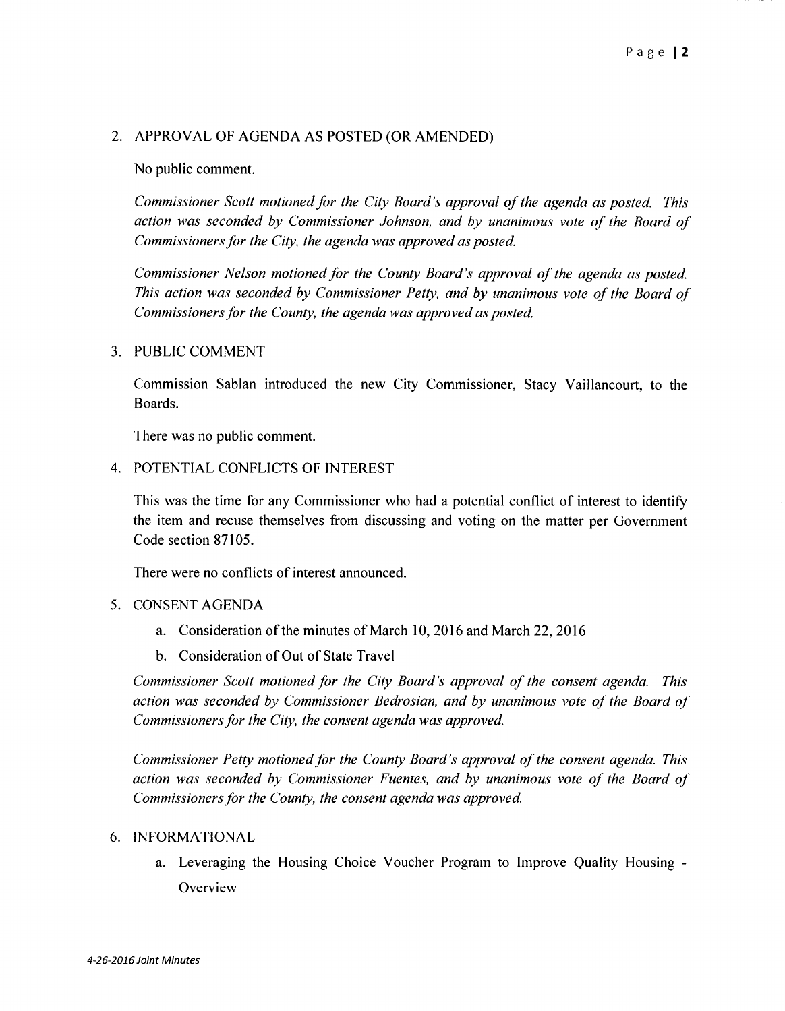## 2. APPROVAL OF AGENDA AS POSTED (OR AMENDED)

## No public comment.

*Commissioner Scott motioned for the City Board's approval of the agenda as posted. This action was seconded by Commissioner Johnson, and by unanimous vote of the Board of Commissioners for the City, the agenda was approved as posted.* 

*Commissioner Nelson motioned for the County Board's approval of the agenda as posted. This action was seconded by Commissioner Petty, and by unanimous vote of the Board of Commissioners for the County, the agenda was approved as posted.* 

## 3. PUBLIC COMMENT

Commission Sablan introduced the new City Commissioner, Stacy Vaillancourt, to the Boards.

There was no public comment.

4. POTENTIAL CONFLICTS OF INTEREST

This was the time for any Commissioner who had a potential conflict of interest to identify the item and recuse themselves from discussing and voting on the matter per Government Code section 87105.

There were no conflicts of interest announced.

#### 5. CONSENT AGENDA

- a. Consideration of the minutes of March 10, 2016 and March 22, 2016
- b. Consideration of Out of State Travel

*Commissioner Scott motioned for the City Board's approval of the consent agenda. This action was seconded by Commissioner Bedrosian, and by unanimous vote of the Board of Commissioners for the City, the consent agenda was approved.* 

*Commissioner Petty motioned for the County Board's approval of the consent agenda. This action was seconded by Commissioner Fuentes, and by unanimous vote of the Board of Commissioners for the County, the consent agenda was approved.* 

#### 6. INFORMATIONAL

a. Leveraging the Housing Choice Voucher Program to Improve Quality Housing - **Overview**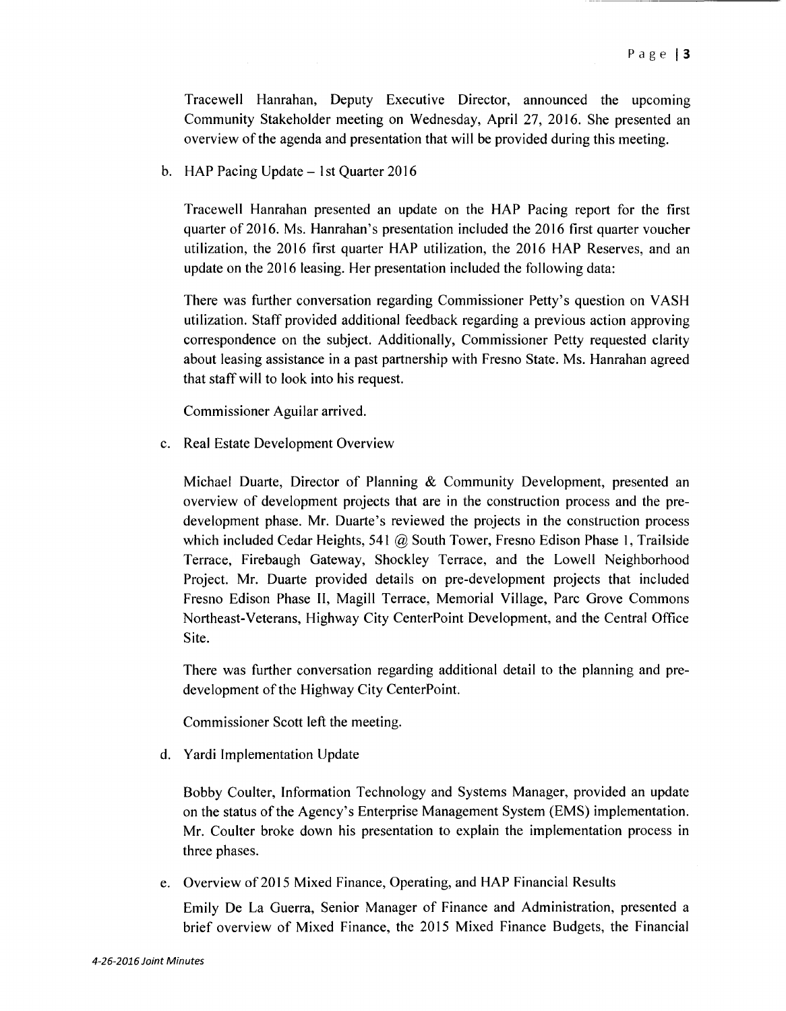Tracewell Hanrahan, Deputy Executive Director, announced the upcoming Community Stakeholder meeting on Wednesday, April 27, 2016. She presented an overview of the agenda and presentation that will be provided during this meeting.

b. HAP Pacing Update  $-$  1st Quarter 2016

Tracewell Hanrahan presented an update on the HAP Pacing report for the first quarter of 2016. Ms. Hanrahan's presentation included the 2016 first quarter voucher utilization, the 2016 first quarter HAP utilization, the 2016 HAP Reserves, and an update on the 2016 leasing. Her presentation included the following data:

There was further conversation regarding Commissioner Petty's question on VASH utilization. Staff provided additional feedback regarding a previous action approving correspondence on the subject. Additionally, Commissioner Petty requested clarity about leasing assistance in a past partnership with Fresno State. Ms. Hanrahan agreed that staff will to look into his request.

Commissioner Aguilar arrived.

c. Real Estate Development Overview

Michael Duarte, Director of Planning & Community Development, presented an overview of development projects that are in the construction process and the predevelopment phase. Mr. Duarte's reviewed the projects in the construction process which included Cedar Heights, 541 @ South Tower, Fresno Edison Phase 1, Trailside Terrace, Firebaugh Gateway, Shockley Terrace, and the Lowell Neighborhood Project. Mr. Duarte provided details on pre-development projects that included Fresno Edison Phase **II,** Magill Terrace, Memorial Village, Parc Grove Commons Northeast-Veterans, Highway City CenterPoint Development, and the Central Office Site.

There was further conversation regarding additional detail to the planning and predevelopment of the Highway City CenterPoint.

Commissioner Scott left the meeting.

d. Yardi Implementation Update

Bobby Coulter, Information Technology and Systems Manager, provided an update on the status of the Agency's Enterprise Management System (EMS) implementation. Mr. Coulter broke down his presentation to explain the implementation process in three phases.

e. Overview of 2015 Mixed Finance, Operating, and HAP Financial Results

Emily De La Guerra, Senior Manager of Finance and Administration, presented a brief overview of Mixed Finance, the 2015 Mixed Finance Budgets, the Financial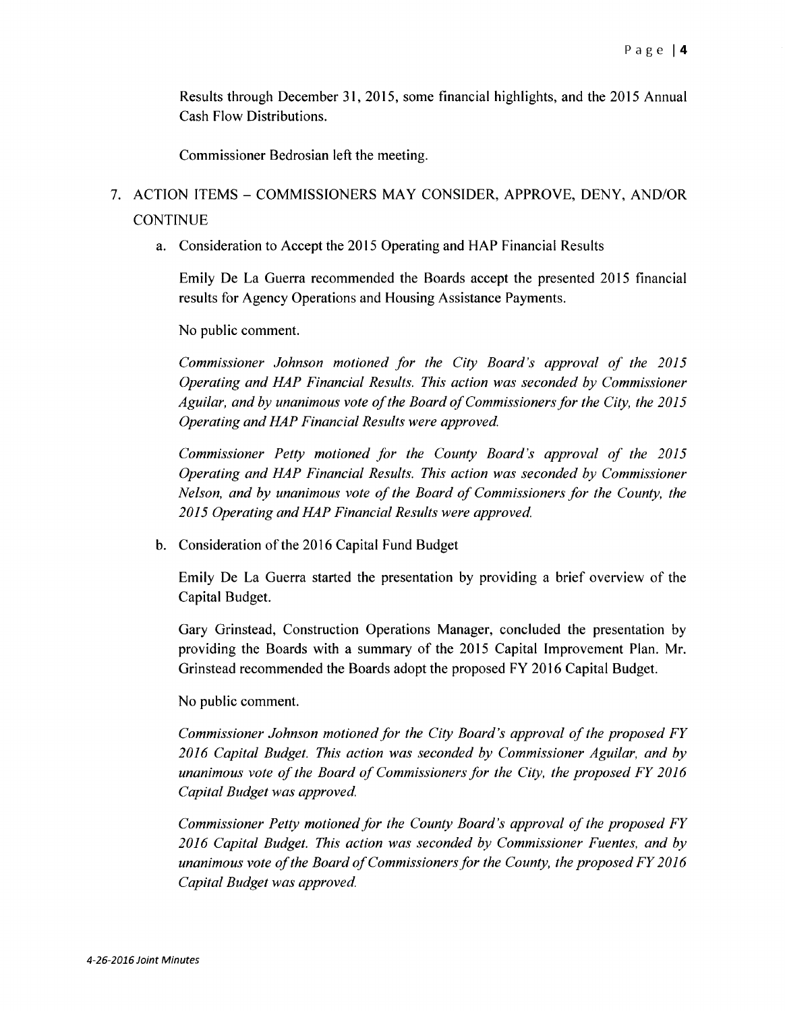Results through December 31, 2015, some financial highlights, and the 2015 Annual Cash Flow Distributions.

Commissioner Bedrosian left the meeting.

# 7. ACTION ITEMS - COMMISSIONERS MAY CONSIDER, APPROVE, DENY, AND/OR **CONTINUE**

a. Consideration to Accept the 2015 Operating and HAP Financial Results

Emily De La Guerra recommended the Boards accept the presented 2015 financial results for Agency Operations and Housing Assistance Payments.

No public comment.

*Commissioner Johnson motioned for the City Board's approval of the 2015 Operating and HAP Financial Results. This action was seconded by Commissioner Aguilar, and by unanimous vote of the Board of Commissioners for the City, the 2015 Operating and HAP Financial Results were approved.* 

*Commissioner Petty motioned for the County Board's approval of the 2015 Operating and HAP Financial Results. This action was seconded by Commissioner Nelson, and by unanimous vote of the Board of Commissioners for the County, the 2015 Operating and HAP Financial Results were approved.* 

b. Consideration of the 2016 Capital Fund Budget

Emily De La Guerra started the presentation by providing a brief overview of the Capital Budget.

Gary Grinstead, Construction Operations Manager, concluded the presentation by providing the Boards with a summary of the 2015 Capital Improvement Plan. Mr. Grinstead recommended the Boards adopt the proposed FY 2016 Capital Budget.

No public comment.

*Commissioner Johnson motioned for the City Board's approval of the proposed FY 2016 Capital Budget. This action was seconded by Commissioner Aguilar, and by unanimous vote of the Board of Commissioners for the City, the proposed FY 2016 Capital Budget was approved.* 

*Commissioner Petty motioned for the County Board's approval of the proposed FY 2016 Capital Budget. This action was seconded by Commissioner Fuentes, and by unanimous vote of the Board of Commissioners for the County, the proposed FY 2016 Capital Budget was approved.*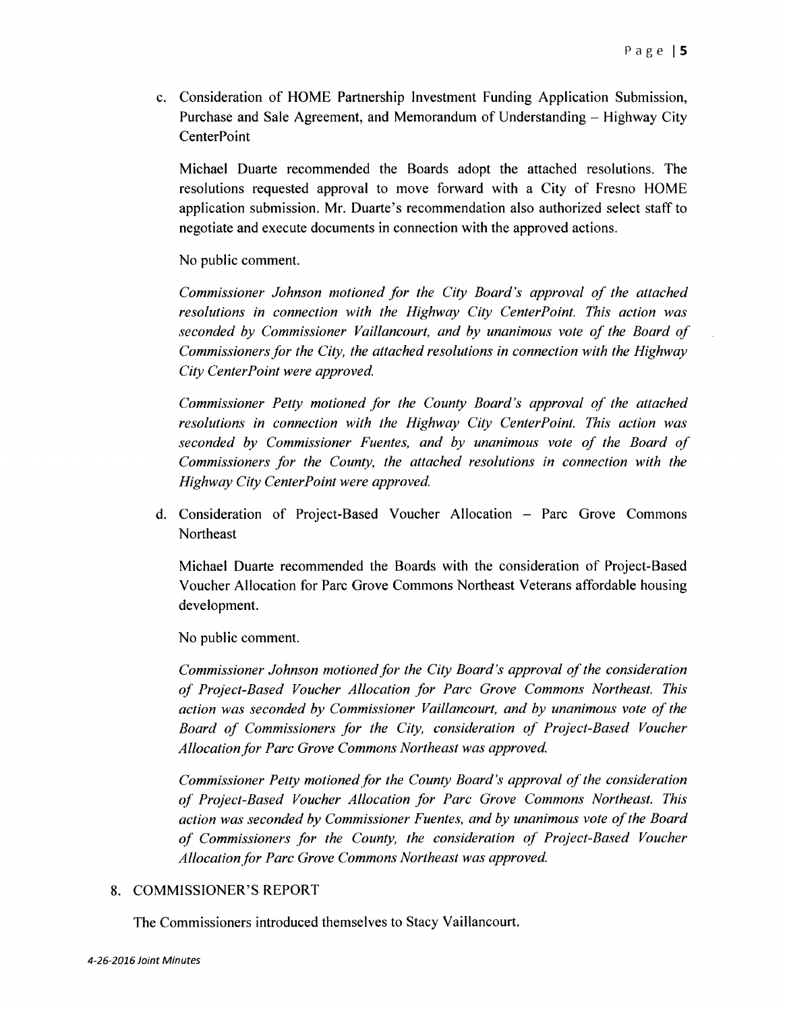c. Consideration of HOME Partnership Investment Funding Application Submission, Purchase and Sale Agreement, and Memorandum of Understanding – Highway City **CenterPoint** 

Michael Duarte recommended the Boards adopt the attached resolutions. The resolutions requested approval to move forward with a City of Fresno HOME application submission. Mr. Duarte's recommendation also authorized select staff to negotiate and execute documents in connection with the approved actions.

No public comment.

*Commissioner Johnson motioned for the City Board's approval of the attached resolutions in connection with the Highway City CenterPoint. This action was seconded by Commissioner Vaillancourt, and by unanimous vote of the Board of Commissioners for the City, the attached resolutions in connection with the Highway City CenterPoint were approved.* 

*Commissioner Petty motioned for the County Board's approval of the attached resolutions in connection with the Highway City CenterPoint. This action was seconded by Commissioner Fuentes, and by unanimous vote of the Board of Commissioners for the County, the attached resolutions in connection with the Highway City CenterPoint were approved.* 

d. Consideration of Project-Based Voucher Allocation - Parc Grove Commons **Northeast** 

Michael Duarte recommended the Boards with the consideration of Project-Based Voucher Allocation for Parc Grove Commons Northeast Veterans affordable housing development.

No public comment.

*Commissioner Johnson motioned for the City Board's approval of the consideration of Project-Based Voucher Allocation for Parc Grove Commons Northeast. This action was seconded by Commissioner Vaillancourt, and by unanimous vote of the Board of Commissioners for the City, consideration of Project-Based Voucher*  Allocation for Parc Grove Commons Northeast was approved.

*Commissioner Petty motioned for the County Board's approval of the consideration of Project-Based Voucher Allocation for Parc Grove Commons Northeast. This action was seconded by Commissioner Fuentes, and by unanimous vote of the Board of Commissioners for the County, the consideration of Project-Based Voucher*  Allocation for Parc Grove Commons Northeast was approved.

# 8. COMMISSIONER'S REPORT

The Commissioners introduced themselves to Stacy Vaillancourt.